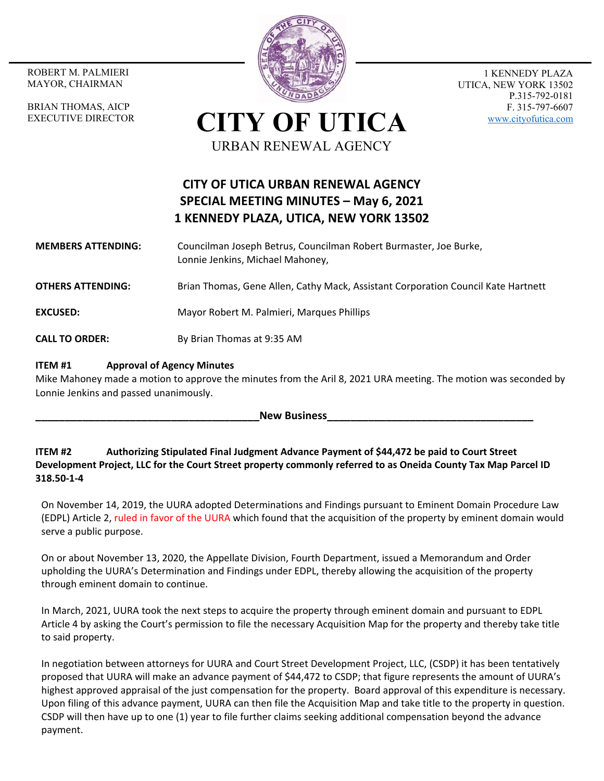MAYOR, CHAIRMAN

BRIAN THOMAS, AICP EXECUTIVE DIRECTOR



1 KENNEDY PLAZA UTICA, NEW YORK 13502 P.315-792-0181 F. 315-797-6607 www.cityofutica.com

**CITY OF UTICA** URBAN RENEWAL AGENCY

## **CITY OF UTICA URBAN RENEWAL AGENCY SPECIAL MEETING MINUTES – May 6, 2021 1 KENNEDY PLAZA, UTICA, NEW YORK 13502**

## **MEMBERS ATTENDING:**  Councilman Joseph Betrus, Councilman Robert Burmaster, Joe Burke, Lonnie Jenkins, Michael Mahoney,

**OTHERS ATTENDING:** Brian Thomas, Gene Allen, Cathy Mack, Assistant Corporation Council Kate Hartnett

**EXCUSED:**  Mayor Robert M. Palmieri, Marques Phillips

**CALL TO ORDER:** By Brian Thomas at 9:35 AM

## **ITEM #1 Approval of Agency Minutes**

Mike Mahoney made a motion to approve the minutes from the Aril 8, 2021 URA meeting. The motion was seconded by Lonnie Jenkins and passed unanimously.

**New Business** 

**ITEM #2 Authorizing Stipulated Final Judgment Advance Payment of \$44,472 be paid to Court Street Development Project, LLC for the Court Street property commonly referred to as Oneida County Tax Map Parcel ID 318.50‐1‐4** 

On November 14, 2019, the UURA adopted Determinations and Findings pursuant to Eminent Domain Procedure Law (EDPL) Article 2, ruled in favor of the UURA which found that the acquisition of the property by eminent domain would serve a public purpose.

On or about November 13, 2020, the Appellate Division, Fourth Department, issued a Memorandum and Order upholding the UURA's Determination and Findings under EDPL, thereby allowing the acquisition of the property through eminent domain to continue.

In March, 2021, UURA took the next steps to acquire the property through eminent domain and pursuant to EDPL Article 4 by asking the Court's permission to file the necessary Acquisition Map for the property and thereby take title to said property.

In negotiation between attorneys for UURA and Court Street Development Project, LLC, (CSDP) it has been tentatively proposed that UURA will make an advance payment of \$44,472 to CSDP; that figure represents the amount of UURA's highest approved appraisal of the just compensation for the property. Board approval of this expenditure is necessary. Upon filing of this advance payment, UURA can then file the Acquisition Map and take title to the property in question. CSDP will then have up to one (1) year to file further claims seeking additional compensation beyond the advance payment.